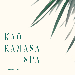# KAO KAMASA SPA

Treatment Menu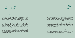# **I n t r o d u c t i o n to the Pesh**

*Wellness, Healing, and Spiritual awareness are at the heart of any well-curated treatment. We honor the Pesh traditions and the Honduran-Roatán environment at Kao Kamasa Spa*

The Pesh are an indigenous group located in northeast Honduras. At the time of contact with Europeans at the beginning of the 16th century, they were also established in what is now the Bay Islands. The probable remains of the ancient Pesh on the islands are chards of broken pottery that the people of Roatán call "yaba ding dings."

Through work done by foreign and Honduran archaeologists, anthropologists, and historians, much has been learned and uncovered about the Pesh. However, a lot remains unknown. The discovery in 2015 of the archaeological site now known as "The City of the Jaguar" (also historically known by the name "The White City" or Kao Kamasa in Pesh) is a literal informational gold mine. At present, there are 12 remaining Pesh villages with a population of less than 3000. Their language and culture are quickly fading as they blend into their surrounding Hispanic neighbors.

When creating Kao Kamasa Spa, we intended to honor the Pesh, ancient and current, as evident in the many intricate details and artifacts you will see throughout Spa. You will note that we have incorporated many Pesh words into our menu descriptions and have intentionally curated each treatment and touchpoint to reflect the unique characteristics we have learned about the Pesh.



For example, the Pesh were known to have painted their faces and bodies for ceremonies and special events using the bark and surrounding berries to create a paste. A few unique treatments incorporate face and body painting to pay tribute to this Pesh custom.

Also, experts discovered that the Pesh hold very special significance, even a mystical reverence, for the number '3' and any multiple of '3' (most especially the number '9'). This was a part of their cosmovision and continues today. So, as easy as "1, 2, 3", our abbreviated treatments are named in the Pesh language as "As-Pook-Mai" in honor of this significant and unique spiritual world view.

Jade, precious stones such as Obsidian, cacao (universally known as cocoa), and small handcrafted bells were treasured items to the Pesh. They used these items in ancient times to trade with other indigenous groups. To honor the Pesh, we've incorporated these items in many of our Spa touchpoints, and our signature scent, Cocoa Tonka, is featured in all of our spa amenities.

We've become fascinated with the Pesh and hold them close to our hearts. We hope that bringing awareness of the Pesh and their presence as signified throughout the Spa will also resonate with you and pique your interest to learn more about them.

At Kao Kamasa Spa, we proudly feature items made by Pesh artisans and hope you will support them and their existence by purchasing some of their handcrafted items.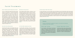**Fa c i a l Tr e a t m e n t s**

#### Pesh "Painted-Jade" Restorative Facial

The art of transforming oneself with precious stones, make-up, and masks is a universal phenomenon among all people of the world, as it used to be for the ancient Pesh. This is the inspiration for our phenomenal restorative facial. Jade has properties that firm and lift in concert with our skin's chemistry. Our Jade roller smooths wrinkles and sculpts facial muscles. Custom facial cleansing coupled with biodynamic cranial-facial therapy, algae, and botanical extracts is combined with a Pesh-inspired painting of multiple skin restorative masks creatively painted on the face to erase the telltale signs of aging. We include a therapeutic neck, shoulder, and hand massage that will leave you relaxed and renewed. 60 min

#### Mermaid Firming Facial

Pesh traditional belief includes a ceremony to "the mermaid, the mother of fish, who cares for the fish." This age-defying facial takes its cues from the sea and the people who revere it to moisturize, firm, and tone severely dry, sun-damaged skin. Harnessing pure derivatives from the sea, including all-white algae wine and tea combined with copper peptides, oceanic vitamin C, and a probiotic exfoliation gives the skin a superior boost. We add a smoothing eye and lip treatment in conjunction with a collagenenhancing infusion mask and a brightening hand treatment to help make you fabulous and youthful. 90 min

#### Gua Sha Stone Rejuvenator

Jade, which was used in pre-Columbian times in the territory that is currently now Honduras, has healing properties based on natural currents, temperature, and texture. Harnessing your skin's vibrational energies using the Jade stone's properties will create alignment and universal harmony to reverse time. A healthy dose of firming antioxidants paired with a Jade-crystal massage visibly smooths fine lines while stimulating collagen production. Your skin will feel dewy, sculpted, and toned. 90 min

#### As-Pook-Mai Awakening Facial

In ancient Pesh cosmovision, three was a sacred number. We honor this mystical view by naming this treatment in their ancient language. Ideal for those pressed for time but want to relax and refresh, our Pesh-inspired awakening facial is as quick as 1(As), 2(Pook), 3(Mai). This abbreviated treatment includes a facial cleansing, exfoliation, a skin-specific facial mask, and a relaxing neck and shoulder massage. 30 min

#### Ancient Ritual-High Tech Facial

For nearly 1000 years, we can trace Pesh culture and existence around the Bay Islands, where they acquired knowledge of how nature acts as a powerful healing source. Through science, we now know that carbon dioxide is cycled through the thick, indigenous rainforests creating oxygen in just the right proportion to sustain life and heal. Utilizing this knowledge, our GeneO+ technology uses the power of a CO2 carrier to infuse essential nutrients and antioxidants deep into cells. This causes the body to send oxygen-rich blood into the treated area to bind with these healing essentials to reveal a smoother, firmer, revived complexion. You will love your naturally youthful skin. 90 min

### **Ãkaka**

*Choose an enhancement to upgrade and "amplify," as the ancient word describes, the effects of your facial treatment.*

#### Ténwã "Light" Therapy

A non-invasive, LED light-wave technology targets fine lines and wrinkles, pigmentation concerns, or breakouts. The remote areas of the Honduran central highlands are the current home to the Pesh. This area enjoys gorgeous sunlight and is the inspiration for this therapeutic light therapy.

#### Collagen "Warka Ehka" Infusion

An infusion gel mask is used to enhance hydration and skin tone. A potent, plant-based Amino Acid Compound encourages pro-collagen synthesis while gently firming and plumping the skin. This treatment is "to restore" a youthful appearance.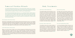## **Te m a z c a l Pat o k a a R i t u a l s B o d y Tr e a t m e n t s**

*Our Temazcal Patokaa Rituals take place in our ocean facing Jaguar treatment room. The Jaguar, known as the most mighty and ferocious animal in the Honduran rain forest, was genuinely significant in the Pesh culture as it was the symbol of their shaman. The Pesh revered their shaman as having almost supernatural knowledge of the power of plants and their healing properties.* 

Our purifying full body Patokaa (heat) rituals occur in our modernized Temazcal, meaning "house of heat". For centuries, heat and aromatic water turned to steam have been used for warmth, cleanliness, and purification. Here, we combine "téhwã" (fire) and "asò" (water) by pouring herb-infused water over heated volcanic stones in the room's center to create an aromatic steam inhalation for deep purification and improved circulation, providing an exquisite nurturing experience of renewal that feels both grounding and freeing.

#### Pesh Obsidian Palm Stone Ritual

Sea salts, skin-nourishing algae, and aromatic botanical moisturizing oils buff away dull, dry skin. A duo of seaweed and clay-based mineralizing body masks are artfully applied to the body in homage to native Pesh custom. Following a refreshing warm water rinse, a full body massage rich with aromatic algae oil soothes muscles and deeply nourishes the skin. Palm stones, made of Obsidian which is naturally found in Honduras, are used in this treatment to detox, ground, release negativity, and create protection around the subtle energy-body. 120 min

#### Aroma Rose Quartz Stone Ritual

Based on the fruits & flowers of Roatán, such as calming Lemongrass and detoxifying Cedar, this full-body cleansing incorporates an invigorating scrub ritual, a rejuvenating herbal mud masque envelopment, and a deeply relaxing scalp massage. A full body massage using a captivating aromatic oil with its signature indigenous floral resonance and a relaxing foot massage using an ancient balancing bowl follows. The treatment concludes with a unique rocking technique that introduces a gentle wave to unify body and mind and release any remaining tensions. Palm Stones of Rose Quartz are used in this treatment to bring a sense of peace and unconditional love. 120 min

#### Jade Stone Chakra-Balancing

This treatment begins with the anointment of a precious blend of oils, along with the transcendent sound of bells, which were treasured by elite ancient Pesh. A profoundly nurturing oil is applied to the body's energy centers. Jade Chakra stones further balance the body to stimulate and awaken the Chakras and provide peace and clarity to the mind. A unique Jade roller is also used for a soothing, rejuvenating, and tension-melting facial massage. This offering ends with a relaxing scalp, neck, and shoulder massage followed by a balancing foot bowl treatment. Achieve a feeling of renewal or, as the Pesh would say, "waíkakà." 60 min

#### Purifying "Saina" Body Scrub

This treatment opens with an aromatic inhalation of a transformative oil combined with Sweet Orange, Sage, and Lavender. It is followed by applying deeply re-mineralizing sea salt mixed with Neem, Honey, Lemon, and Orange for a full-body exfoliation. The experience includes an invigorating scalp massage and a balancing foot treatment using a unique wand to enhance a revitalizing feeling of rejuvenation. 60 min

#### Deep-Soothing Wrap

This deeply restful and restorative treatment opens with a relaxing aromatherapy inhalation followed by a restoring back massage using aromatic blended calming oils and a nurturing and hydrating algae, white kaolin clay, and lavender. A relaxing scalp massage is followed by a facial massage using a balancing Jade wand to soothe, tone, and release stress from facial muscles, neck, and shoulders. The transcendent sounds of bells induce a sense of well-being and mark the end of this profoundly restorative treatment. The Pesh would whisper "akapãk a paintua" which translates to "reclaim stillness." 90 min

#### Foot and Leg Refreshing "Seíka"

A nurturing aromatherapy inhalation featuring a rare Lotus and Rose blend awakens and uplifts subtle energies. The feet are cleansed and exfoliated with a refreshing "seíka" and purifying algae-aloe scrub. The experience concludes with a foot massage and Kansa bowl treatment, leaving one feeling deeply relaxed and radiantly invigorated. 30 min

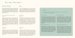## **Massage Therapies**

#### Uruhcha Piras Kukava *deep intention, deep tissue*

## Kaki

Alleviate muscle tension and muscular stress with this moderate to firm massage inspired by the benefits of deep, intentional work in the Pesh tradition. This fullbody massage employs substantial manipulation of strategic muscle groups to renew vitality and restore energy. 60/90 min

#### Ocean "Asotapak" Wave Therapy *meditative*

Based on Quantum Harmonic sound therapy, this treatment features precise and complex audio frequencies matched to the body's organs and energy centers (chakras). A highly efficient oscillation massage system integrated within the table's lying surface to simulate an "ocean" wave, this treatment provides vital benefits of mindfulness, meditation, and deep relaxation to release stress and promote deep relaxation. 45 min

#### A r k a c h i h w a *relaxation*

Integrating various classic massage techniques, named in the Pesh word for calm, our skilled therapists soothe and relax the body and mind. This lighter touch massage utilizes traditional Swedish methods that will be sure to make you feel still and meditative. 60/90 min

#### *prenatal*

In the Pesh language, "kaki", the word that means mother, is endeared. Mothers-to-be, and new moms, need nurturing and relaxation. This relaxing therapy is designed to ease muscle discomfort, lower backache, and water retention to benefit mom and baby. 60 min

#### Buh Buh Pã *reflexology*

Activating reflex points release toxins and tensions, so the flow of energy throughout the body is reestablished. "Buh buh pã", meaning "to press" in the Pesh language, is our inspiration for the name of this ancient healing ritual. Applied pressure that stimulates reflex points in the feet, which correspond to the body's internal organs, will increase healthy function and aid in detoxification. 30/60 min

#### Payo Bokín *couples*

Private time together unwinding from an active schedule with dual massages is ideally delivered in the comfort of one of our beautifully appointed ocean-front couple's suites. The Pesh words "payo" and "bokín" have always been honored and revered as it means "with you" and "couple." We created this so you can experience relaxation together. 60/90 min

## **Ãkaka**

*Choose an enhancement to upgrade and "amplify," as the ancient word describes, the effects of your massage treatment.*

#### A romatherapy

The diverse Roatán topography is reflected in its flora. Organic Sesame, Macadamia, Almond, and Avocado oil are carefully blended with combinations of plant essences, inspired by the Pesh people's fruits and flowers, which impart specific benefits to your body as it will enhance your senses. You choose Soothing, Calming, or Energizing.

#### Deep Muscle Relief

Nature's pharmacy is present in the botanical diversity found in Honduran plants such as Cedarwood, Aloe, and Yarrow. Our muscle-release blended oil is formulated to provide a soothing and aromatic experience. It supports restoration and relief from achy, tired muscles—a perfect addition to the Deep Intention massage treatment.

#### Warm Basalt Stone

The indigenous elements of Roatán contain healing properties when combined with therapeutic skin emollients. We use smooth round basalt stones, gently heated and smoothed over the body. The stones' heat combined with essential oils will penetrate muscle tissue inducing deep relaxation and muscle relief.

#### Awah Tamanka Salt Stone

Warmed salt stones ground and balance the body's electromagnetic field, central nervous system, and meridians and will gently soothe away an accumulation of stress and tension. The Pesh practitioners inspired us to provide a therapeutic "transformative" treatment that promotes deep relaxation and a sense of calm, as the definitive words "awah tamanka" describes.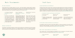# **Hair** Treatments

#### Hair Spa Treatments

Using products that are notably "skincare for the hair," a Hair Spa treatment combines specific treatment combinations for scalp renewal, detoxifying and deep purification, and aromatherapy and heat therapy. Honoring Pesh world views and their myths that multiples of 3 were significant, we've created this comprehensive ninestep Hair Spa treatment that is customized to address your hair concerns. 60 min

| Luminage Treatment<br>Anti-aging and Intense | Caviar<br>Ultimate |
|----------------------------------------------|--------------------|
| Repair                                       | Nourish            |
| Featuring a full-bodied sen-                 | Featurin           |
| sual, warm floral bouquet,                   | sophisti           |
| this treatment features the                  | white blo          |
| Cera-filler Complex, a trio                  | luxuriou           |
| of potent actives to reconstruct,            | decader            |
| fortify the hair and shield the              | harmony            |
| scalp. Prevents color fade and               | to repai           |
| repairs fragile, brittle hair.               | purify fre         |

r Treatment *Ultimate Shine and Supreme Nourishment*

g sublimely elegant and icated floral bouquets of looms blended with warm. us wood and amber, this int treatment works in ny with the caviar extract ir, rejuvenate, soothe and rom the root.

Richly spiced florals, earthy woods, and musk aromatics scent the hair and bring together four deeply nourishing oils and silk proteins that tame and reactivate curls, smooth frizz, lock in moisture, and restore elasticity.

Resplendisse Treatment

*Curl Defining*

# **Nail Care**

#### Crystal Spa Manicure and Pedicure

Crystals and stones used in ancient times in Honduras and today's essential oils are intuitively incorporated into our signature manicure and pedicure. Each spa-inspired treatment begins with you choosing your intention of either grounding, relaxing, or revitalizing. Salt and essential oils are blended with warm water to commence this treatment, followed by a soft exfoliation and moisturizing hand or foot wrap. A curative massage creates the true essence of relaxation and renewal and finishes with cuticle care and polish. Manicure and Pedicure each 60 min

#### Honduran Crystal and Stones and Oil Blends

| Grounding and                   | Relaxing and                    | Revitalizing and              |
|---------------------------------|---------------------------------|-------------------------------|
| Purifying                       | <b>Balancing</b>                | Energizing                    |
| Obsidian and Smoky Quartz       | Rose Quartz and Amethyst        | Citrine and Clear Quartz com- |
| combined with essential oils of | combined with essential oils of | bined with essential oils of  |
| Pine and Cedar.                 | Rose and Lavender.              | Ginger and Lemongrass.        |

#### As-Pook-Mai Traditional Manicure and Pedicure

As translated in Pesh and as quick as 1(As), 2(Pook), 3(Mai), our manicure and pedicure is the swift route to looking and feeling impeccable. The treatment includes cuticle care, exfoliation, and polish. It's perfect for those short on time but wanting total nail care. Manicure 35 min, Pedicure 45 min

#### Shampoo and Blow Out

Found deep in the Honduran rainforest is the Ojon tree. Ojon Palm Nut oil, extracted from the tree, has been revered as an ancient beauty remedy due to its healing properties to the hair. Our shampoo and blowout services include this oil and omega oils and other reparative nutrients to ensure soft, shiny, manageable hair.

#### Male "Árwã" Inspired Manicure and Pedicure

Árwã, meaning male in the Pesh language, and especially for him, this treatment is the perfect remedy to smooth, buff, and groom the hands and feet. Manicure 30 min, Pedicure 45 min

Buff and Polish *hands*

Polish Change *hands or feet*

F re n c h - Po l i s h *hands or feet*

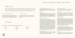# **The Kao Kamasa Spa Experience**

## **Make-up**

*The art of transforming oneself with facial painting for revered events and occasions is a universal fact among all people globally, including the Pesh of northeast Honduras and the Bay Islands. Whether it is for a special occasion or event or everyday use, we feature a collection of the highest quality mineral-based make-up that promotes healthy skin and a beautiful, flawless look.*

#### Special Occasion Make-Up

#### For Your Eyes Only

Our gifted artisans will create your desired look for your wedding, a relaxing resort date night under the stars, girls' night out, or a legendary selfie! 60 min

Our talented artists create the desired look from a natural, soft, day look to a dramatic, smoky evening look. 30 min

## **Waxing**

#### We use the finest in low-reactive waxes for the most perfect result.

| <b>Brow</b> | <b>Full Face</b> | <b>Bikini Line</b> |
|-------------|------------------|--------------------|
| Cheek       | Full Arm         | <b>Full Leg</b>    |
| Lip         | Half Arm         | <b>Half Leg</b>    |
| Chin        | <b>Back</b>      |                    |

#### Spa Treatment Reservations

Call +504-2433-9033 to reserve your Spa and Salon treatments. A credit card is required to hold your reservation.

#### Appointments

Please arrive 30 minutes before your appointment to allow ample time to register at spa reception and enjoy our therapeutic steam rooms, the Tamanka experience, outdoor pool, and relax in our tranquil relaxation lounge.

#### Late Arrival Time Spa Cancellation Policy

If a late arrival is unavoidable, please notify the front desk concierge as soon as possible, so we can try to adjust your treatment time. Please be advised that if we cannot adjust your itinerary, we must still complete your treatment by the designated end-time to accommodate the next guest. Should you need to cancel or reschedule, we kindly ask that you notify us 8 hours in advance to avoid a charge for the total value of your scheduled treatments. All no-show appointments will be charged for the full value of your scheduled treatments. A notice of 72 hours is required for changes and/or cancellations for groups of five or more.

#### Age Requirement

The minimum age to experience the services at Kao Kamasa Spa are as follows: 16 years old for facials and waxing; 18 years old for massage.

#### Gratuities and Tax

A 10% gratuity and a 15% tax will be added to all Spa and Salon services at time of checkout.

#### Spa Attire

Kao Kamasa Spa will provide you with a robe and slippers for added comfort and a locker for personal belongings. Please do not bring jewelry or valuables. Kao Kamasa Spa assumes no liability for personal items.

#### Relax and Enjoy

We wish to provide you with the most relaxing and unique experience. While enjoying the treatments and facilities at Kao Kamasa Spa, we respectfully request refraining from the use of cell phones and other electronic devices. To ensure complete privacy for you and other guests, photography is prohibited. We ask that you shower before all body services and before using any of the water amenities following your massage.

#### A Curated Shopping Experience

Our Spa shop features items made by Pesh, Honduran, and Roatán artisans. We offer a wide range of skin and body care products, aromatherapy, and home ambiance, jewelry, and resort wear collections.

#### Gift Cards

A perfect gift for any occasion, the Kao Kamasa Spa gift card is available in various denominations.

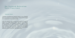## **O u r F e a t u r e d R e l a x a t i o n Water Experience**

#### Tamanka Room

"Tamanka" is the Pesh word meaning "rotation". In our "Tamanka Room", we invite you to rotate through a series of pool plunges for an experience of pure sensory bliss.

Under the watchful view of ancient eyes peering through the jungle in our Pesh-inspired murals, enjoy the color therapy, salinity variations, and temperature gradients used to create an experience like no other, culminating in the final "tamanka kwini", meaning rotating fountain, which is our centerpiece. Enjoy this therapeutic water circuit and leave feeling serene, balanced, and at one with our Kao Kamasa spirit.